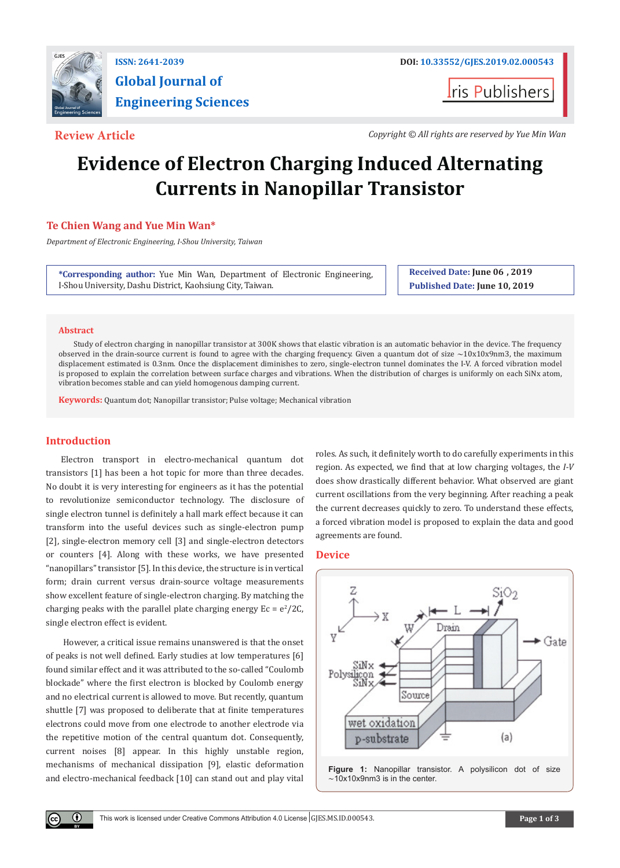

# **Global Journal of Engineering Sciences**

**I**ris Publishers

**Review Article** *Copyright © All rights are reserved by Yue Min Wan*

## **Evidence of Electron Charging Induced Alternating Currents in Nanopillar Transistor**

### **Te Chien Wang and Yue Min Wan\***

*Department of Electronic Engineering, I-Shou University, Taiwan*

**\*Corresponding author:** Yue Min Wan, Department of Electronic Engineering, I-Shou University, Dashu District, Kaohsiung City, Taiwan.

**Received Date: June 06 , 2019 Published Date: June 10, 2019**

#### **Abstract**

Study of electron charging in nanopillar transistor at 300K shows that elastic vibration is an automatic behavior in the device. The frequency observed in the drain-source current is found to agree with the charging frequency. Given a quantum dot of size  $\sim$ 10x10x9nm3, the maximum displacement estimated is 0.3nm. Once the displacement diminishes to zero, single-electron tunnel dominates the I-V. A forced vibration model is proposed to explain the correlation between surface charges and vibrations. When the distribution of charges is uniformly on each SiNx atom, vibration becomes stable and can yield homogenous damping current.

**Keywords:** Quantum dot; Nanopillar transistor; Pulse voltage; Mechanical vibration

#### **Introduction**

 $(\cdot)$ 

Electron transport in electro-mechanical quantum dot transistors [1] has been a hot topic for more than three decades. No doubt it is very interesting for engineers as it has the potential to revolutionize semiconductor technology. The disclosure of single electron tunnel is definitely a hall mark effect because it can transform into the useful devices such as single-electron pump [2], single-electron memory cell [3] and single-electron detectors or counters [4]. Along with these works, we have presented "nanopillars" transistor [5]. In this device, the structure is in vertical form; drain current versus drain-source voltage measurements show excellent feature of single-electron charging. By matching the charging peaks with the parallel plate charging energy  $Ec = e^2/2C$ , single electron effect is evident.

 However, a critical issue remains unanswered is that the onset of peaks is not well defined. Early studies at low temperatures [6] found similar effect and it was attributed to the so-called "Coulomb blockade" where the first electron is blocked by Coulomb energy and no electrical current is allowed to move. But recently, quantum shuttle [7] was proposed to deliberate that at finite temperatures electrons could move from one electrode to another electrode via the repetitive motion of the central quantum dot. Consequently, current noises [8] appear. In this highly unstable region, mechanisms of mechanical dissipation [9], elastic deformation and electro-mechanical feedback [10] can stand out and play vital

roles. As such, it definitely worth to do carefully experiments in this region. As expected, we find that at low charging voltages, the *I-V* does show drastically different behavior. What observed are giant current oscillations from the very beginning. After reaching a peak the current decreases quickly to zero. To understand these effects, a forced vibration model is proposed to explain the data and good agreements are found.

#### **Device**

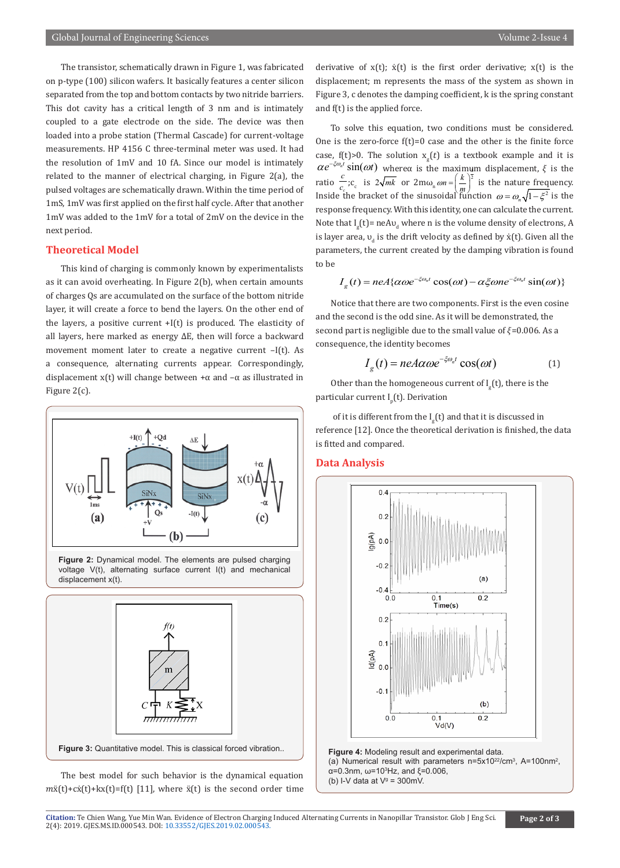The transistor, schematically drawn in Figure 1, was fabricated on p-type (100) silicon wafers. It basically features a center silicon separated from the top and bottom contacts by two nitride barriers. This dot cavity has a critical length of 3 nm and is intimately coupled to a gate electrode on the side. The device was then loaded into a probe station (Thermal Cascade) for current-voltage measurements. HP 4156 C three-terminal meter was used. It had the resolution of 1mV and 10 fA. Since our model is intimately related to the manner of electrical charging, in Figure 2(a), the pulsed voltages are schematically drawn. Within the time period of 1mS, 1mV was first applied on the first half cycle. After that another 1mV was added to the 1mV for a total of 2mV on the device in the next period.

#### **Theoretical Model**

This kind of charging is commonly known by experimentalists as it can avoid overheating. In Figure 2(b), when certain amounts of charges Qs are accumulated on the surface of the bottom nitride layer, it will create a force to bend the layers. On the other end of the layers, a positive current  $+I(t)$  is produced. The elasticity of all layers, here marked as energy ∆E, then will force a backward movement moment later to create a negative current –I(t). As a consequence, alternating currents appear. Correspondingly, displacement x(t) will change between  $+\alpha$  and  $-\alpha$  as illustrated in Figure 2(c).



**Figure 2:** Dynamical model. The elements are pulsed charging voltage V(t), alternating surface current I(t) and mechanical displacement x(t).



The best model for such behavior is the dynamical equation  $m\ddot{x}(t)+c\dot{x}(t)+kx(t)=f(t)$  [11], where  $\ddot{x}(t)$  is the second order time derivative of  $x(t)$ ;  $\dot{x}(t)$  is the first order derivative;  $x(t)$  is the displacement; m represents the mass of the system as shown in Figure 3, c denotes the damping coefficient, k is the spring constant and f(t) is the applied force.

To solve this equation, two conditions must be considered. One is the zero-force  $f(t)=0$  case and the other is the finite force case,  $f(t) > 0$ . The solution  $x_g(t)$  is a textbook example and it is  $\alpha e^{-\xi \omega_n t} \sin(\omega t)$  wherea is the maximum displacement,  $\xi$  is the ratio  $\frac{c}{c_c}$ ;  $c_c$  is  $2\sqrt{mk}$  or  $2m\omega_n \omega_n = \left(\frac{k}{m}\right)^2$  is the nature frequency. Inside the bracket of the sinusoidal function  $\omega = \omega_n \sqrt{1 - \xi^2}$  is the response frequency. With this identity, one can calculate the current. Note that  $I_g(t)$ = neA $v_d$  where n is the volume density of electrons, A is layer area,  $v_{d}$  is the drift velocity as defined by  $x(t)$ . Given all the parameters, the current created by the damping vibration is found to be

$$
I_g(t) = neA\{\alpha\omega e^{-\xi\omega_n t}\cos(\omega t) - \alpha\xi\omega n e^{-\xi\omega_n t}\sin(\omega t)\}
$$

Notice that there are two components. First is the even cosine and the second is the odd sine. As it will be demonstrated, the second part is negligible due to the small value of  $\xi$ =0.006. As a consequence, the identity becomes

$$
I_g(t) = neA\alpha\omega e^{-\xi\omega_n t} \cos(\omega t) \tag{1}
$$

Other than the homogeneous current of  $I_g^{\phantom{\dagger}}(\mathsf{t})$ , there is the particular current I<sub>p</sub>(t). Derivation

of it is different from the  $I_g(t)$  and that it is discussed in reference [12]. Once the theoretical derivation is finished, the data is fitted and compared.

#### **Data Analysis**



**Figure 4:** Modeling result and experimental data. (a) Numerical result with parameters  $n=5x10^{22}/cm^3$ , A=100nm<sup>2</sup>, α=0.3nm, ω=10<sup>3</sup> Hz, and ξ=0.006, (b) I-V data at  $V^g = 300$ mV.